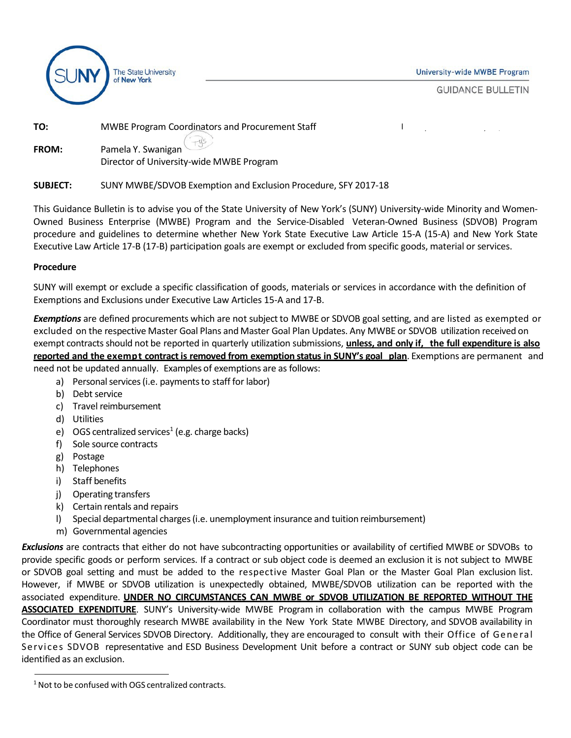

**University-wide MWBE Program** 

Last Updated: January 17, 2017

**GUIDANCE BULLETIN** 

| TO:          | <b>MWBE Program Coordinators and Procurement Staff</b> |
|--------------|--------------------------------------------------------|
| <b>FROM:</b> | Pamela Y. Swanigan                                     |
|              | Director of University-wide MWBE Program               |

#### **SUBJECT:** SUNY MWBE/SDVOB Exemption and Exclusion Procedure, SFY 2017-18

This Guidance Bulletin is to advise you of the State University of New York's (SUNY) University-wide Minority and Women-Owned Business Enterprise (MWBE) Program and the Service-Disabled Veteran-Owned Business (SDVOB) Program procedure and guidelines to determine whether New York State Executive Law Article 15-A (15-A) and New York State Executive Law Article 17-B (17-B) participation goals are exempt or excluded from specific goods, material or services.

#### **Procedure**

SUNY will exempt or exclude a specific classification of goods, materials or services in accordance with the definition of Exemptions and Exclusions under Executive Law Articles 15-A and 17-B.

**Exemptions** are defined procurements which are not subject to MWBE or SDVOB goal setting, and are listed as exempted or excluded on the respective Master Goal Plans and Master Goal Plan Updates. Any MWBE or SDVOB utilization received on exempt contracts should not be reported in quarterly utilization submissions, **unless, and only if, the full expenditure is also reported and the exempt contract is removed from exemption status in SUNY's goal plan**. Exemptions are permanent and need not be updated annually. Examples of exemptions are as follows:

- a) Personal services (i.e. payments to staff for labor)
- b) Debt service
- c) Travel reimbursement
- d) Utilities
- e) OGS centralized services<sup>1</sup> (e.g. charge backs)
- f) Sole source contracts
- g) Postage
- h) Telephones
- i) Staff benefits
- j) Operating transfers
- k) Certain rentals and repairs
- l) Special departmental charges(i.e. unemployment insurance and tuition reimbursement)
- m) Governmental agencies

*Exclusions* are contracts that either do not have subcontracting opportunities or availability of certified MWBE or SDVOBs to provide specific goods or perform services. If a contract or sub object code is deemed an exclusion it is not subject to MWBE or SDVOB goal setting and must be added to the respective Master Goal Plan or the Master Goal Plan exclusion list. However, if MWBE or SDVOB utilization is unexpectedly obtained, MWBE/SDVOB utilization can be reported with the associated expenditure. **UNDER NO CIRCUMSTANCES CAN MWBE or SDVOB UTILIZATION BE REPORTED WITHOUT THE ASSOCIATED EXPENDITURE**. SUNY's University-wide MWBE Program in collaboration with the campus MWBE Program Coordinator must thoroughly research MWBE availability in the New York State MWBE Directory, and SDVOB availability in the Office of General Services SDVOB Directory. Additionally, they are encouraged to consult with their Office of General Services SDVOB representative and ESD Business Development Unit before a contract or SUNY sub object code can be identified as an exclusion.

<span id="page-0-0"></span><sup>&</sup>lt;sup>1</sup> Not to be confused with OGS centralized contracts.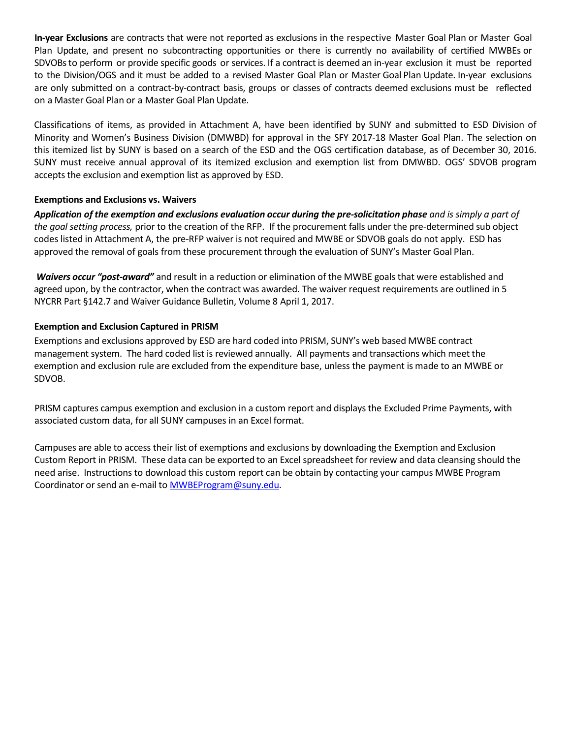**In-year Exclusions** are contracts that were not reported as exclusions in the respective Master Goal Plan or Master Goal Plan Update, and present no subcontracting opportunities or there is currently no availability of certified MWBEs or SDVOBsto perform or provide specific goods or services. If a contract is deemed an in-year exclusion it must be reported to the Division/OGS and it must be added to a revised Master Goal Plan or Master Goal Plan Update. In-year exclusions are only submitted on a contract-by-contract basis, groups or classes of contracts deemed exclusions must be reflected on a Master Goal Plan or a Master Goal Plan Update.

Classifications of items, as provided in Attachment A, have been identified by SUNY and submitted to ESD Division of Minority and Women's Business Division (DMWBD) for approval in the SFY 2017-18 Master Goal Plan. The selection on this itemized list by SUNY is based on a search of the ESD and the OGS certification database, as of December 30, 2016. SUNY must receive annual approval of its itemized exclusion and exemption list from DMWBD. OGS' SDVOB program accepts the exclusion and exemption list as approved by ESD.

## **Exemptions and Exclusions vs. Waivers**

Application of the exemption and exclusions evaluation occur during the pre-solicitation phase and is simply a part of *the goal setting process,* prior to the creation of the RFP. If the procurement falls under the pre-determined sub object codes listed in Attachment A, the pre-RFP waiver is not required and MWBE or SDVOB goals do not apply. ESD has approved the removal of goals from these procurement through the evaluation of SUNY's Master Goal Plan.

*Waivers occur "post-award"* and result in a reduction or elimination of the MWBE goals that were established and agreed upon, by the contractor, when the contract was awarded. The waiver request requirements are outlined in 5 NYCRR Part §142.7 and Waiver Guidance Bulletin, Volume 8 April 1, 2017.

## **Exemption and Exclusion Captured in PRISM**

Exemptions and exclusions approved by ESD are hard coded into PRISM, SUNY's web based MWBE contract management system. The hard coded list is reviewed annually. All payments and transactions which meet the exemption and exclusion rule are excluded from the expenditure base, unless the payment is made to an MWBE or SDVOB.

PRISM captures campus exemption and exclusion in a custom report and displays the Excluded Prime Payments, with associated custom data, for all SUNY campuses in an Excel format.

Campuses are able to access their list of exemptions and exclusions by downloading the Exemption and Exclusion Custom Report in PRISM. These data can be exported to an Excel spreadsheet for review and data cleansing should the need arise. Instructions to download this custom report can be obtain by contacting your campus MWBE Program Coordinator or send an e-mail to [MWBEProgram@suny.edu.](mailto:MWBEProgram@suny.edu)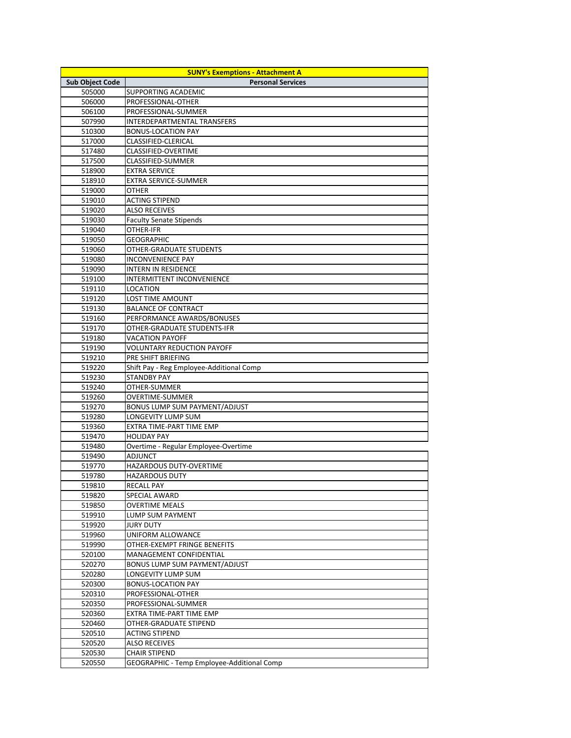| <b>Sub Object Code</b> | <b>SUNY's Exemptions - Attachment A</b><br><b>Personal Services</b> |
|------------------------|---------------------------------------------------------------------|
| 505000                 | <b>SUPPORTING ACADEMIC</b>                                          |
| 506000                 | PROFESSIONAL-OTHER                                                  |
| 506100                 | PROFESSIONAL-SUMMER                                                 |
| 507990                 | <b>INTERDEPARTMENTAL TRANSFERS</b>                                  |
| 510300                 | <b>BONUS-LOCATION PAY</b>                                           |
| 517000                 | <b>CLASSIFIED-CLERICAL</b>                                          |
| 517480                 | <b>CLASSIFIED-OVERTIME</b>                                          |
| 517500                 | <b>CLASSIFIED-SUMMER</b>                                            |
| 518900                 | <b>EXTRA SERVICE</b>                                                |
| 518910                 | <b>EXTRA SERVICE-SUMMER</b>                                         |
| 519000                 | <b>OTHER</b>                                                        |
| 519010                 | <b>ACTING STIPEND</b>                                               |
| 519020                 | <b>ALSO RECEIVES</b>                                                |
| 519030                 | <b>Faculty Senate Stipends</b>                                      |
| 519040                 | <b>OTHER-IFR</b>                                                    |
| 519050                 | <b>GEOGRAPHIC</b>                                                   |
| 519060                 | <b>OTHER-GRADUATE STUDENTS</b>                                      |
| 519080                 | <b>INCONVENIENCE PAY</b>                                            |
| 519090                 | <b>INTERN IN RESIDENCE</b>                                          |
| 519100                 | INTERMITTENT INCONVENIENCE                                          |
| 519110                 | <b>LOCATION</b>                                                     |
| 519120                 | <b>LOST TIME AMOUNT</b>                                             |
| 519130                 | <b>BALANCE OF CONTRACT</b>                                          |
| 519160                 | PERFORMANCE AWARDS/BONUSES                                          |
| 519170                 | <b>OTHER-GRADUATE STUDENTS-IFR</b>                                  |
| 519180                 | <b>VACATION PAYOFF</b>                                              |
| 519190                 | <b>VOLUNTARY REDUCTION PAYOFF</b>                                   |
| 519210                 | PRE SHIFT BRIEFING                                                  |
| 519220                 | Shift Pay - Reg Employee-Additional Comp                            |
| 519230                 | <b>STANDBY PAY</b>                                                  |
| 519240                 | OTHER-SUMMER                                                        |
| 519260                 | <b>OVERTIME-SUMMER</b>                                              |
| 519270                 | <b>BONUS LUMP SUM PAYMENT/ADJUST</b>                                |
| 519280                 | LONGEVITY LUMP SUM                                                  |
| 519360                 | EXTRA TIME-PART TIME EMP                                            |
| 519470                 | <b>HOLIDAY PAY</b>                                                  |
| 519480                 | Overtime - Regular Employee-Overtime                                |
| 519490                 | <b>ADJUNCT</b>                                                      |
| 519770                 | HAZARDOUS DUTY-OVERTIME                                             |
| 519780                 | <b>HAZARDOUS DUTY</b>                                               |
| 519810                 | <b>RECALL PAY</b>                                                   |
| 519820                 | <b>SPECIAL AWARD</b>                                                |
| 519850                 | <b>OVERTIME MEALS</b>                                               |
| 519910                 | <b>LUMP SUM PAYMENT</b>                                             |
| 519920                 | <b>JURY DUTY</b>                                                    |
| 519960                 | <b>UNIFORM ALLOWANCE</b>                                            |
| 519990                 | OTHER-EXEMPT FRINGE BENEFITS                                        |
| 520100                 | <b>MANAGEMENT CONFIDENTIAL</b>                                      |
| 520270                 | <b>BONUS LUMP SUM PAYMENT/ADJUST</b>                                |
| 520280                 | <b>LONGEVITY LUMP SUM</b>                                           |
| 520300                 | <b>BONUS-LOCATION PAY</b>                                           |
| 520310                 | PROFESSIONAL-OTHER                                                  |
| 520350                 | PROFESSIONAL-SUMMER                                                 |
| 520360                 | <b>EXTRA TIME-PART TIME EMP</b>                                     |
| 520460                 | <b>OTHER-GRADUATE STIPEND</b>                                       |
| 520510                 | <b>ACTING STIPEND</b>                                               |
| 520520                 | <b>ALSO RECEIVES</b>                                                |
| 520530                 | <b>CHAIR STIPEND</b>                                                |
| 520550                 | GEOGRAPHIC - Temp Employee-Additional Comp                          |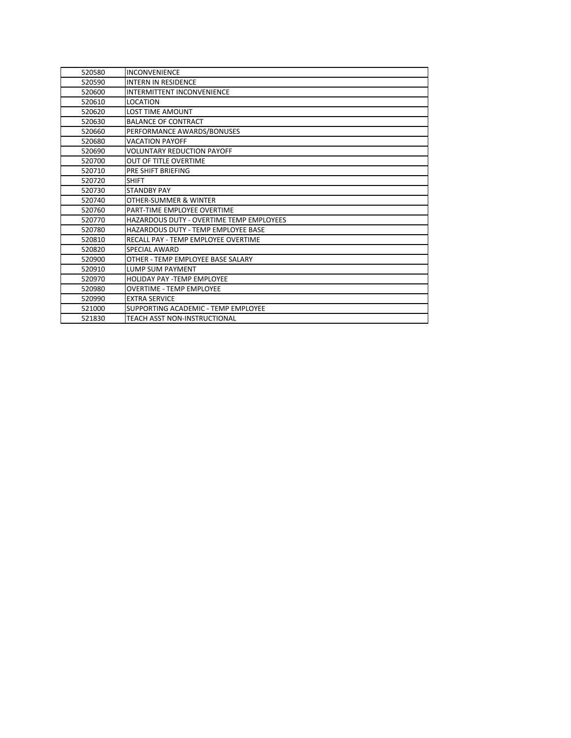| 520580 | <b>INCONVENIENCE</b>                            |
|--------|-------------------------------------------------|
| 520590 | <b>INTERN IN RESIDENCE</b>                      |
| 520600 | <b>INTERMITTENT INCONVENIENCE</b>               |
| 520610 | <b>LOCATION</b>                                 |
| 520620 | <b>LOST TIME AMOUNT</b>                         |
| 520630 | <b>BALANCE OF CONTRACT</b>                      |
| 520660 | PERFORMANCE AWARDS/BONUSES                      |
| 520680 | <b>VACATION PAYOFF</b>                          |
| 520690 | <b>VOLUNTARY REDUCTION PAYOFF</b>               |
| 520700 | <b>OUT OF TITLE OVERTIME</b>                    |
| 520710 | PRE SHIFT BRIEFING                              |
| 520720 | <b>SHIFT</b>                                    |
| 520730 | <b>STANDBY PAY</b>                              |
| 520740 | OTHER-SUMMER & WINTER                           |
| 520760 | PART-TIME EMPLOYEE OVERTIME                     |
| 520770 | <b>HAZARDOUS DUTY - OVERTIME TEMP EMPLOYEES</b> |
| 520780 | <b>HAZARDOUS DUTY - TEMP EMPLOYEE BASE</b>      |
| 520810 | RECALL PAY - TEMP EMPLOYEE OVERTIME             |
| 520820 | <b>SPECIAL AWARD</b>                            |
| 520900 | OTHER - TEMP EMPLOYEE BASE SALARY               |
| 520910 | <b>LUMP SUM PAYMENT</b>                         |
| 520970 | <b>HOLIDAY PAY -TEMP EMPLOYEE</b>               |
| 520980 | <b>OVERTIME - TEMP EMPLOYEE</b>                 |
| 520990 | <b>EXTRA SERVICE</b>                            |
| 521000 | SUPPORTING ACADEMIC - TEMP EMPLOYEE             |
| 521830 | <b>TEACH ASST NON-INSTRUCTIONAL</b>             |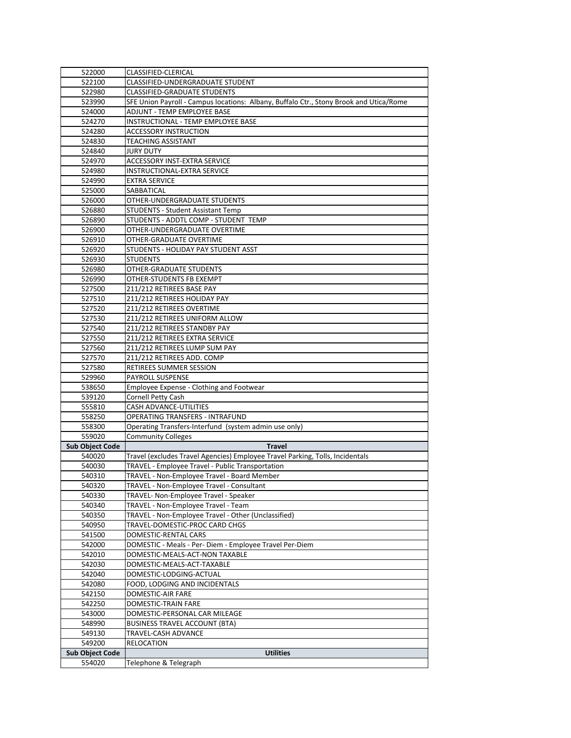| 522100                           | <b>CLASSIFIED-CLERICAL</b>                                                             |
|----------------------------------|----------------------------------------------------------------------------------------|
|                                  | <b>CLASSIFIED-UNDERGRADUATE STUDENT</b>                                                |
| 522980                           | <b>CLASSIFIED-GRADUATE STUDENTS</b>                                                    |
| 523990                           | SFE Union Payroll - Campus locations: Albany, Buffalo Ctr., Stony Brook and Utica/Rome |
| 524000                           | <b>ADJUNT - TEMP EMPLOYEE BASE</b>                                                     |
| 524270                           | INSTRUCTIONAL - TEMP EMPLOYEE BASE                                                     |
| 524280                           | <b>ACCESSORY INSTRUCTION</b>                                                           |
| 524830                           | <b>TEACHING ASSISTANT</b>                                                              |
| 524840                           | <b>JURY DUTY</b>                                                                       |
| 524970                           | <b>ACCESSORY INST-EXTRA SERVICE</b>                                                    |
| 524980                           | <b>INSTRUCTIONAL-EXTRA SERVICE</b>                                                     |
| 524990                           | <b>EXTRA SERVICE</b>                                                                   |
| 525000                           | SABBATICAL                                                                             |
| 526000                           | OTHER-UNDERGRADUATE STUDENTS                                                           |
| 526880                           | <b>STUDENTS - Student Assistant Temp</b>                                               |
| 526890                           | STUDENTS - ADDTL COMP - STUDENT TEMP                                                   |
| 526900                           | OTHER-UNDERGRADUATE OVERTIME                                                           |
| 526910                           | OTHER-GRADUATE OVERTIME                                                                |
| 526920                           | STUDENTS - HOLIDAY PAY STUDENT ASST                                                    |
| 526930                           | <b>STUDENTS</b>                                                                        |
| 526980                           | <b>OTHER-GRADUATE STUDENTS</b>                                                         |
| 526990                           | OTHER-STUDENTS FB EXEMPT                                                               |
| 527500                           | 211/212 RETIREES BASE PAY                                                              |
| 527510                           | 211/212 RETIREES HOLIDAY PAY                                                           |
| 527520                           | 211/212 RETIREES OVERTIME                                                              |
| 527530                           | 211/212 RETIREES UNIFORM ALLOW                                                         |
| 527540                           | 211/212 RETIREES STANDBY PAY                                                           |
| 527550                           | 211/212 RETIREES EXTRA SERVICE                                                         |
| 527560                           | 211/212 RETIREES LUMP SUM PAY                                                          |
| 527570                           | 211/212 RETIREES ADD. COMP                                                             |
| 527580                           | <b>RETIREES SUMMER SESSION</b>                                                         |
| 529960                           | <b>PAYROLL SUSPENSE</b>                                                                |
| 538650                           | Employee Expense - Clothing and Footwear                                               |
| 539120                           | Cornell Petty Cash                                                                     |
| 555810                           | <b>CASH ADVANCE-UTILITIES</b>                                                          |
| 558250                           | <b>OPERATING TRANSFERS - INTRAFUND</b>                                                 |
| 558300                           | Operating Transfers-Interfund (system admin use only)                                  |
|                                  | <b>Community Colleges</b>                                                              |
|                                  |                                                                                        |
| 559020                           |                                                                                        |
|                                  | <b>Travel</b>                                                                          |
| 540020                           | Travel (excludes Travel Agencies) Employee Travel Parking, Tolls, Incidentals          |
| 540030                           | TRAVEL - Employee Travel - Public Transportation                                       |
| 540310                           | TRAVEL - Non-Employee Travel - Board Member                                            |
| 540320                           | TRAVEL - Non-Employee Travel - Consultant                                              |
| 540330                           | TRAVEL- Non-Employee Travel - Speaker                                                  |
| 540340                           | TRAVEL - Non-Employee Travel - Team                                                    |
| 540350                           | TRAVEL - Non-Employee Travel - Other (Unclassified)                                    |
| 540950                           | TRAVEL-DOMESTIC-PROC CARD CHGS                                                         |
| 541500                           | DOMESTIC-RENTAL CARS                                                                   |
| 542000                           | DOMESTIC - Meals - Per- Diem - Employee Travel Per-Diem                                |
| 542010                           | DOMESTIC-MEALS-ACT-NON TAXABLE                                                         |
| <b>Sub Object Code</b><br>542030 | DOMESTIC-MEALS-ACT-TAXABLE                                                             |
| 542040                           | DOMESTIC-LODGING-ACTUAL                                                                |
| 542080                           | FOOD, LODGING AND INCIDENTALS                                                          |
| 542150                           | <b>DOMESTIC-AIR FARE</b>                                                               |
| 542250                           | <b>DOMESTIC-TRAIN FARE</b>                                                             |
| 543000                           | DOMESTIC-PERSONAL CAR MILEAGE                                                          |
| 548990                           | <b>BUSINESS TRAVEL ACCOUNT (BTA)</b>                                                   |
| 549130                           | <b>TRAVEL-CASH ADVANCE</b>                                                             |
| 549200<br><b>Sub Object Code</b> | <b>RELOCATION</b><br><b>Utilities</b>                                                  |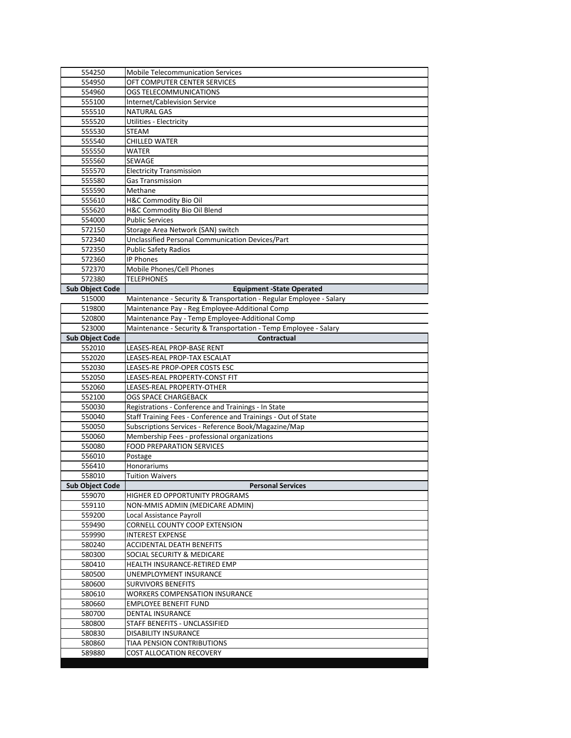| 554250                 | <b>Mobile Telecommunication Services</b>                            |
|------------------------|---------------------------------------------------------------------|
| 554950                 | OFT COMPUTER CENTER SERVICES                                        |
| 554960                 | OGS TELECOMMUNICATIONS                                              |
| 555100                 | <b>Internet/Cablevision Service</b>                                 |
| 555510                 | <b>NATURAL GAS</b>                                                  |
| 555520                 | <b>Utilities - Electricity</b>                                      |
| 555530                 | <b>STEAM</b>                                                        |
| 555540                 | <b>CHILLED WATER</b>                                                |
| 555550                 | <b>WATER</b>                                                        |
| 555560                 | <b>SEWAGE</b>                                                       |
| 555570                 | <b>Electricity Transmission</b>                                     |
| 555580                 | <b>Gas Transmission</b>                                             |
| 555590                 | Methane                                                             |
| 555610                 | H&C Commodity Bio Oil                                               |
| 555620                 | H&C Commodity Bio Oil Blend                                         |
| 554000                 | <b>Public Services</b>                                              |
| 572150                 | Storage Area Network (SAN) switch                                   |
| 572340                 | Unclassified Personal Communication Devices/Part                    |
| 572350                 | <b>Public Safety Radios</b>                                         |
| 572360                 | <b>IP Phones</b>                                                    |
| 572370                 | Mobile Phones/Cell Phones                                           |
| 572380                 | <b>TELEPHONES</b>                                                   |
| <b>Sub Object Code</b> | <b>Equipment -State Operated</b>                                    |
| 515000                 | Maintenance - Security & Transportation - Regular Employee - Salary |
| 519800                 | Maintenance Pay - Reg Employee-Additional Comp                      |
| 520800                 | Maintenance Pay - Temp Employee-Additional Comp                     |
| 523000                 | Maintenance - Security & Transportation - Temp Employee - Salary    |
| <b>Sub Object Code</b> | Contractual                                                         |
| 552010                 | LEASES-REAL PROP-BASE RENT                                          |
| 552020                 | LEASES-REAL PROP-TAX ESCALAT                                        |
| 552030                 | LEASES-RE PROP-OPER COSTS ESC                                       |
| 552050                 | LEASES-REAL PROPERTY-CONST FIT                                      |
| 552060                 | LEASES-REAL PROPERTY-OTHER                                          |
| 552100                 | <b>OGS SPACE CHARGEBACK</b>                                         |
| 550030                 | Registrations - Conference and Trainings - In State                 |
| 550040                 | Staff Training Fees - Conference and Trainings - Out of State       |
| 550050                 | Subscriptions Services - Reference Book/Magazine/Map                |
| 550060                 | Membership Fees - professional organizations                        |
| 550080                 | <b>FOOD PREPARATION SERVICES</b>                                    |
| 556010                 | Postage                                                             |
| 556410                 | Honorariums                                                         |
| 558010                 | <b>Tuition Waivers</b>                                              |
| <b>Sub Object Code</b> | <b>Personal Services</b>                                            |
| 559070                 | <b>HIGHER ED OPPORTUNITY PROGRAMS</b>                               |
| 559110                 | NON-MMIS ADMIN (MEDICARE ADMIN)                                     |
| 559200                 | Local Assistance Payroll                                            |
| 559490                 | <b>CORNELL COUNTY COOP EXTENSION</b>                                |
| 559990                 | <b>INTEREST EXPENSE</b>                                             |
| 580240                 | <b>ACCIDENTAL DEATH BENEFITS</b>                                    |
| 580300                 | SOCIAL SECURITY & MEDICARE                                          |
| 580410                 | HEALTH INSURANCE-RETIRED EMP                                        |
| 580500                 | <b>UNEMPLOYMENT INSURANCE</b>                                       |
| 580600                 | <b>SURVIVORS BENEFITS</b>                                           |
| 580610                 | <b>WORKERS COMPENSATION INSURANCE</b>                               |
| 580660                 | <b>EMPLOYEE BENEFIT FUND</b>                                        |
| 580700                 | <b>DENTAL INSURANCE</b>                                             |
| 580800                 | STAFF BENEFITS - UNCLASSIFIED                                       |
| 580830                 | <b>DISABILITY INSURANCE</b>                                         |
| 580860                 | <b>TIAA PENSION CONTRIBUTIONS</b>                                   |
| 589880                 | <b>COST ALLOCATION RECOVERY</b>                                     |
|                        |                                                                     |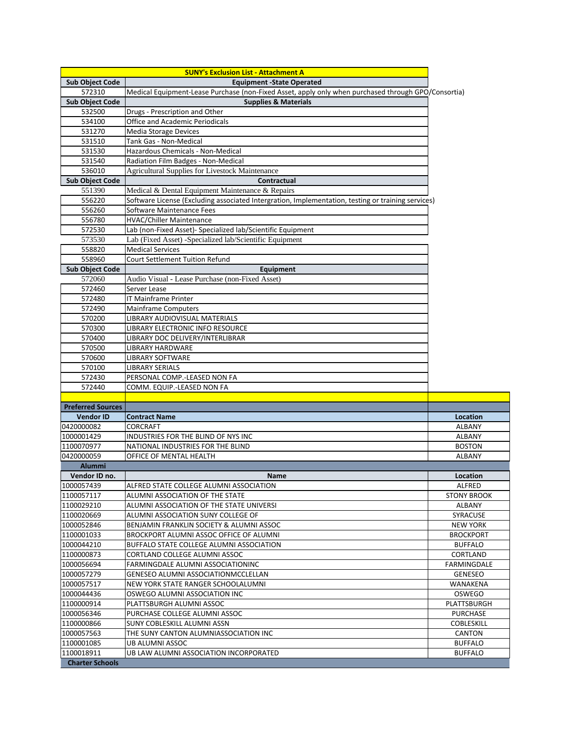|                          | <b>SUNY's Exclusion List - Attachment A</b>                                                         |                    |
|--------------------------|-----------------------------------------------------------------------------------------------------|--------------------|
| <b>Sub Object Code</b>   | <b>Equipment -State Operated</b>                                                                    |                    |
| 572310                   | Medical Equipment-Lease Purchase (non-Fixed Asset, apply only when purchased through GPO/Consortia) |                    |
| <b>Sub Object Code</b>   | <b>Supplies &amp; Materials</b>                                                                     |                    |
| 532500                   | Drugs - Prescription and Other                                                                      |                    |
| 534100                   | <b>Office and Academic Periodicals</b>                                                              |                    |
| 531270                   | <b>Media Storage Devices</b>                                                                        |                    |
| 531510                   | <b>Tank Gas - Non-Medical</b>                                                                       |                    |
| 531530                   | Hazardous Chemicals - Non-Medical                                                                   |                    |
| 531540                   | Radiation Film Badges - Non-Medical                                                                 |                    |
| 536010                   | <b>Agricultural Supplies for Livestock Maintenance</b>                                              |                    |
| <b>Sub Object Code</b>   | Contractual                                                                                         |                    |
| 551390                   | Medical & Dental Equipment Maintenance & Repairs                                                    |                    |
| 556220                   | Software License (Excluding associated Intergration, Implementation, testing or training services)  |                    |
| 556260                   | Software Maintenance Fees                                                                           |                    |
| 556780                   | <b>HVAC/Chiller Maintenance</b>                                                                     |                    |
| 572530                   | Lab (non-Fixed Asset)- Specialized lab/Scientific Equipment                                         |                    |
| 573530                   | Lab (Fixed Asset) -Specialized lab/Scientific Equipment                                             |                    |
| 558820                   | <b>Medical Services</b>                                                                             |                    |
| 558960                   | <b>Court Settlement Tuition Refund</b>                                                              |                    |
| <b>Sub Object Code</b>   | Equipment                                                                                           |                    |
| 572060                   | Audio Visual - Lease Purchase (non-Fixed Asset)                                                     |                    |
| 572460                   | Server Lease                                                                                        |                    |
| 572480                   | <b>IT Mainframe Printer</b>                                                                         |                    |
| 572490                   | <b>Mainframe Computers</b>                                                                          |                    |
| 570200                   | LIBRARY AUDIOVISUAL MATERIALS                                                                       |                    |
| 570300                   | LIBRARY ELECTRONIC INFO RESOURCE                                                                    |                    |
| 570400                   | LIBRARY DOC DELIVERY/INTERLIBRAR                                                                    |                    |
| 570500                   | <b>LIBRARY HARDWARE</b>                                                                             |                    |
| 570600                   | <b>LIBRARY SOFTWARE</b>                                                                             |                    |
| 570100                   | <b>LIBRARY SERIALS</b>                                                                              |                    |
| 572430                   | PERSONAL COMP.-LEASED NON FA                                                                        |                    |
| 572440                   | COMM. EQUIP.-LEASED NON FA                                                                          |                    |
|                          |                                                                                                     |                    |
| <b>Preferred Sources</b> |                                                                                                     |                    |
| <b>Vendor ID</b>         | <b>Contract Name</b>                                                                                | <b>Location</b>    |
| 0420000082               | <b>CORCRAFT</b>                                                                                     | <b>ALBANY</b>      |
| 1000001429               | INDUSTRIES FOR THE BLIND OF NYS INC                                                                 | <b>ALBANY</b>      |
| 1100070977               | NATIONAL INDUSTRIES FOR THE BLIND                                                                   | <b>BOSTON</b>      |
| 0420000059               | OFFICE OF MENTAL HEALTH                                                                             | <b>ALBANY</b>      |
| <b>Alummi</b>            |                                                                                                     |                    |
| Vendor ID no.            | <b>Name</b>                                                                                         | <b>Location</b>    |
| 1000057439               | ALFRED STATE COLLEGE ALUMNI ASSOCIATION                                                             | <b>ALFRED</b>      |
| 1100057117               | ALUMNI ASSOCIATION OF THE STATE                                                                     | <b>STONY BROOK</b> |
| 1100029210               | ALUMNI ASSOCIATION OF THE STATE UNIVERSI                                                            | <b>ALBANY</b>      |
| 1100020669               | ALUMNI ASSOCIATION SUNY COLLEGE OF                                                                  | <b>SYRACUSE</b>    |
| 1000052846               | BENJAMIN FRANKLIN SOCIETY & ALUMNI ASSOC                                                            | <b>NEW YORK</b>    |
| 1100001033               | BROCKPORT ALUMNI ASSOC OFFICE OF ALUMNI                                                             | <b>BROCKPORT</b>   |
| 1000044210               | <b>BUFFALO STATE COLLEGE ALUMNI ASSOCIATION</b>                                                     | <b>BUFFALO</b>     |
| 1100000873               | <b>CORTLAND COLLEGE ALUMNI ASSOC</b>                                                                | <b>CORTLAND</b>    |
| 1000056694               | FARMINGDALE ALUMNI ASSOCIATIONINC                                                                   | <b>FARMINGDALE</b> |
| 1000057279               | <b>GENESEO ALUMNI ASSOCIATIONMCCLELLAN</b>                                                          | <b>GENESEO</b>     |
| 1000057517               | NEW YORK STATE RANGER SCHOOLALUMNI                                                                  | <b>WANAKENA</b>    |
| 1000044436               | OSWEGO ALUMNI ASSOCIATION INC                                                                       | <b>OSWEGO</b>      |
| 1100000914               | PLATTSBURGH ALUMNI ASSOC                                                                            | <b>PLATTSBURGH</b> |
| 1000056346               | PURCHASE COLLEGE ALUMNI ASSOC                                                                       | <b>PURCHASE</b>    |
| 1100000866               | <b>SUNY COBLESKILL ALUMNI ASSN</b>                                                                  | <b>COBLESKILL</b>  |
| 1000057563               | THE SUNY CANTON ALUMNIASSOCIATION INC                                                               | <b>CANTON</b>      |
| 1100001085               | <b>UB ALUMNI ASSOC</b>                                                                              | <b>BUFFALO</b>     |
| 1100018911               | UB LAW ALUMNI ASSOCIATION INCORPORATED                                                              | <b>BUFFALO</b>     |
| <b>Charter Schools</b>   |                                                                                                     |                    |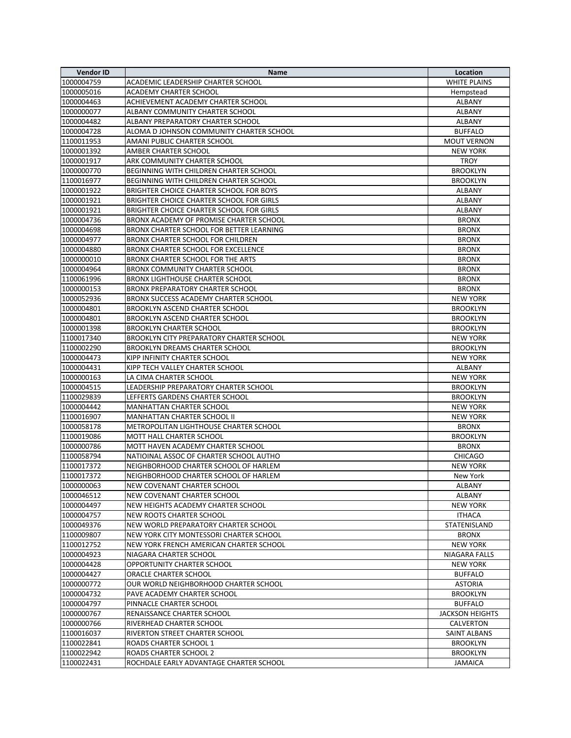| <b>Vendor ID</b> | <b>Name</b>                                     | Location               |
|------------------|-------------------------------------------------|------------------------|
| 1000004759       | <b>ACADEMIC LEADERSHIP CHARTER SCHOOL</b>       | <b>WHITE PLAINS</b>    |
| 1000005016       | <b>ACADEMY CHARTER SCHOOL</b>                   | Hempstead              |
| 1000004463       | ACHIEVEMENT ACADEMY CHARTER SCHOOL              | <b>ALBANY</b>          |
| 1000000077       | ALBANY COMMUNITY CHARTER SCHOOL                 | <b>ALBANY</b>          |
| 1000004482       | ALBANY PREPARATORY CHARTER SCHOOL               | <b>ALBANY</b>          |
| 1000004728       | ALOMA D JOHNSON COMMUNITY CHARTER SCHOOL        | <b>BUFFALO</b>         |
| 1100011953       | <b>AMANI PUBLIC CHARTER SCHOOL</b>              | <b>MOUT VERNON</b>     |
| 1000001392       | <b>AMBER CHARTER SCHOOL</b>                     | <b>NEW YORK</b>        |
| 1000001917       | <b>ARK COMMUNITY CHARTER SCHOOL</b>             | <b>TROY</b>            |
| 1000000770       | BEGINNING WITH CHILDREN CHARTER SCHOOL          | <b>BROOKLYN</b>        |
| 1100016977       | BEGINNING WITH CHILDREN CHARTER SCHOOL          | <b>BROOKLYN</b>        |
| 1000001922       | BRIGHTER CHOICE CHARTER SCHOOL FOR BOYS         | <b>ALBANY</b>          |
| 1000001921       | <b>BRIGHTER CHOICE CHARTER SCHOOL FOR GIRLS</b> | <b>ALBANY</b>          |
| 1000001921       | BRIGHTER CHOICE CHARTER SCHOOL FOR GIRLS        | <b>ALBANY</b>          |
| 1000004736       | BRONX ACADEMY OF PROMISE CHARTER SCHOOL         | <b>BRONX</b>           |
| 1000004698       | BRONX CHARTER SCHOOL FOR BETTER LEARNING        | <b>BRONX</b>           |
| 1000004977       | <b>BRONX CHARTER SCHOOL FOR CHILDREN</b>        | <b>BRONX</b>           |
| 1000004880       | <b>BRONX CHARTER SCHOOL FOR EXCELLENCE</b>      | <b>BRONX</b>           |
| 1000000010       | <b>BRONX CHARTER SCHOOL FOR THE ARTS</b>        | <b>BRONX</b>           |
| 1000004964       | <b>BRONX COMMUNITY CHARTER SCHOOL</b>           | <b>BRONX</b>           |
| 1100061996       | <b>BRONX LIGHTHOUSE CHARTER SCHOOL</b>          | <b>BRONX</b>           |
| 1000000153       | <b>BRONX PREPARATORY CHARTER SCHOOL</b>         | <b>BRONX</b>           |
| 1000052936       | BRONX SUCCESS ACADEMY CHARTER SCHOOL            | <b>NEW YORK</b>        |
| 1000004801       | <b>BROOKLYN ASCEND CHARTER SCHOOL</b>           | <b>BROOKLYN</b>        |
| 1000004801       | <b>BROOKLYN ASCEND CHARTER SCHOOL</b>           | <b>BROOKLYN</b>        |
| 1000001398       | <b>BROOKLYN CHARTER SCHOOL</b>                  | <b>BROOKLYN</b>        |
| 1100017340       | BROOKLYN CITY PREPARATORY CHARTER SCHOOL        | <b>NEW YORK</b>        |
| 1100002290       | <b>BROOKLYN DREAMS CHARTER SCHOOL</b>           | <b>BROOKLYN</b>        |
| 1000004473       | KIPP INFINITY CHARTER SCHOOL                    | <b>NEW YORK</b>        |
| 1000004431       | KIPP TECH VALLEY CHARTER SCHOOL                 | <b>ALBANY</b>          |
| 1000000163       | LA CIMA CHARTER SCHOOL                          | <b>NEW YORK</b>        |
| 1000004515       | LEADERSHIP PREPARATORY CHARTER SCHOOL           | <b>BROOKLYN</b>        |
| 1100029839       | LEFFERTS GARDENS CHARTER SCHOOL                 | <b>BROOKLYN</b>        |
| 1000004442       | <b>MANHATTAN CHARTER SCHOOL</b>                 | <b>NEW YORK</b>        |
| 1100016907       | <b>MANHATTAN CHARTER SCHOOL II</b>              | <b>NEW YORK</b>        |
| 1000058178       | METROPOLITAN LIGHTHOUSE CHARTER SCHOOL          | <b>BRONX</b>           |
| 1100019086       | <b>MOTT HALL CHARTER SCHOOL</b>                 | <b>BROOKLYN</b>        |
| 1000000786       | MOTT HAVEN ACADEMY CHARTER SCHOOL               | <b>BRONX</b>           |
| 1100058794       | NATIOINAL ASSOC OF CHARTER SCHOOL AUTHO         | <b>CHICAGO</b>         |
| 1100017372       | NEIGHBORHOOD CHARTER SCHOOL OF HARLEM           | <b>NEW YORK</b>        |
| 1100017372       | NEIGHBORHOOD CHARTER SCHOOL OF HARLEM           | New York               |
| 1000000063       | NEW COVENANT CHARTER SCHOOL                     | <b>ALBANY</b>          |
| 1000046512       | NEW COVENANT CHARTER SCHOOL                     | <b>ALBANY</b>          |
| 1000004497       | NEW HEIGHTS ACADEMY CHARTER SCHOOL              | <b>NEW YORK</b>        |
| 1000004757       | <b>NEW ROOTS CHARTER SCHOOL</b>                 | <b>ITHACA</b>          |
| 1000049376       | NEW WORLD PREPARATORY CHARTER SCHOOL            | <b>STATENISLAND</b>    |
| 1100009807       | NEW YORK CITY MONTESSORI CHARTER SCHOOL         | <b>BRONX</b>           |
| 1100012752       | NEW YORK FRENCH AMERICAN CHARTER SCHOOL         | <b>NEW YORK</b>        |
| 1000004923       | NIAGARA CHARTER SCHOOL                          | <b>NIAGARA FALLS</b>   |
| 1000004428       | <b>OPPORTUNITY CHARTER SCHOOL</b>               | <b>NEW YORK</b>        |
| 1000004427       | <b>ORACLE CHARTER SCHOOL</b>                    | <b>BUFFALO</b>         |
| 1000000772       | OUR WORLD NEIGHBORHOOD CHARTER SCHOOL           | <b>ASTORIA</b>         |
| 1000004732       | PAVE ACADEMY CHARTER SCHOOL                     | <b>BROOKLYN</b>        |
| 1000004797       | PINNACLE CHARTER SCHOOL                         | <b>BUFFALO</b>         |
| 1000000767       | RENAISSANCE CHARTER SCHOOL                      | <b>JACKSON HEIGHTS</b> |
| 1000000766       | RIVERHEAD CHARTER SCHOOL                        | <b>CALVERTON</b>       |
| 1100016037       | RIVERTON STREET CHARTER SCHOOL                  | <b>SAINT ALBANS</b>    |
| 1100022841       | <b>ROADS CHARTER SCHOOL 1</b>                   | <b>BROOKLYN</b>        |
| 1100022942       | <b>ROADS CHARTER SCHOOL 2</b>                   | <b>BROOKLYN</b>        |
| 1100022431       | ROCHDALE EARLY ADVANTAGE CHARTER SCHOOL         | <b>JAMAICA</b>         |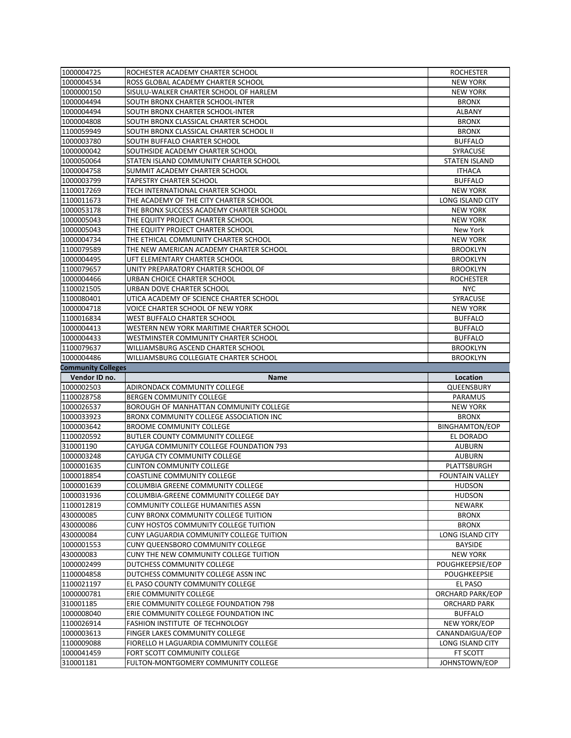| 1000004725                | <b>ROCHESTER ACADEMY CHARTER SCHOOL</b>                             | <b>ROCHESTER</b>          |
|---------------------------|---------------------------------------------------------------------|---------------------------|
| 1000004534                | ROSS GLOBAL ACADEMY CHARTER SCHOOL                                  | <b>NEW YORK</b>           |
| 1000000150                | SISULU-WALKER CHARTER SCHOOL OF HARLEM                              | <b>NEW YORK</b>           |
| 1000004494                | SOUTH BRONX CHARTER SCHOOL-INTER                                    | <b>BRONX</b>              |
| 1000004494                | SOUTH BRONX CHARTER SCHOOL-INTER                                    | <b>ALBANY</b>             |
| 1000004808                | SOUTH BRONX CLASSICAL CHARTER SCHOOL                                | <b>BRONX</b>              |
| 1100059949                | SOUTH BRONX CLASSICAL CHARTER SCHOOL II                             | <b>BRONX</b>              |
| 1000003780                | SOUTH BUFFALO CHARTER SCHOOL                                        | <b>BUFFALO</b>            |
| 1000000042                | SOUTHSIDE ACADEMY CHARTER SCHOOL                                    | <b>SYRACUSE</b>           |
| 1000050064                | STATEN ISLAND COMMUNITY CHARTER SCHOOL                              | <b>STATEN ISLAND</b>      |
| 1000004758                | SUMMIT ACADEMY CHARTER SCHOOL                                       | <b>ITHACA</b>             |
| 1000003799                | <b>TAPESTRY CHARTER SCHOOL</b>                                      | <b>BUFFALO</b>            |
| 1100017269                | TECH INTERNATIONAL CHARTER SCHOOL                                   | <b>NEW YORK</b>           |
| 1100011673                | THE ACADEMY OF THE CITY CHARTER SCHOOL                              | <b>LONG ISLAND CITY</b>   |
| 1000053178                | THE BRONX SUCCESS ACADEMY CHARTER SCHOOL                            | <b>NEW YORK</b>           |
| 1000005043                | THE EQUITY PROJECT CHARTER SCHOOL                                   | <b>NEW YORK</b>           |
| 1000005043                | THE EQUITY PROJECT CHARTER SCHOOL                                   | New York                  |
| 1000004734                | THE ETHICAL COMMUNITY CHARTER SCHOOL                                | <b>NEW YORK</b>           |
| 1100079589                | THE NEW AMERICAN ACADEMY CHARTER SCHOOL                             | <b>BROOKLYN</b>           |
| 1000004495                | UFT ELEMENTARY CHARTER SCHOOL                                       | <b>BROOKLYN</b>           |
| 1100079657                | UNITY PREPARATORY CHARTER SCHOOL OF                                 | <b>BROOKLYN</b>           |
| 1000004466                | URBAN CHOICE CHARTER SCHOOL                                         | <b>ROCHESTER</b>          |
|                           | URBAN DOVE CHARTER SCHOOL                                           | <b>NYC</b>                |
| 1100021505<br>1100080401  | UTICA ACADEMY OF SCIENCE CHARTER SCHOOL                             | <b>SYRACUSE</b>           |
|                           |                                                                     |                           |
| 1000004718                | <b>VOICE CHARTER SCHOOL OF NEW YORK</b>                             | <b>NEW YORK</b>           |
| 1100016834                | <b>WEST BUFFALO CHARTER SCHOOL</b>                                  | <b>BUFFALO</b>            |
| 1000004413                | WESTERN NEW YORK MARITIME CHARTER SCHOOL                            | <b>BUFFALO</b>            |
| 1000004433                | WESTMINSTER COMMUNITY CHARTER SCHOOL                                | <b>BUFFALO</b>            |
| 1100079637                | WILLIAMSBURG ASCEND CHARTER SCHOOL                                  | <b>BROOKLYN</b>           |
| 1000004486                | WILLIAMSBURG COLLEGIATE CHARTER SCHOOL                              | <b>BROOKLYN</b>           |
|                           |                                                                     |                           |
| <b>Community Colleges</b> |                                                                     |                           |
| Vendor ID no.             | <b>Name</b>                                                         | <b>Location</b>           |
| 1000002503                | ADIRONDACK COMMUNITY COLLEGE                                        | QUEENSBURY                |
| 1100028758                | <b>BERGEN COMMUNITY COLLEGE</b>                                     | <b>PARAMUS</b>            |
| 1000026537                | BOROUGH OF MANHATTAN COMMUNITY COLLEGE                              | <b>NEW YORK</b>           |
| 1000033923                | BRONX COMMUNITY COLLEGE ASSOCIATION INC                             | <b>BRONX</b>              |
| 1000003642                | <b>BROOME COMMUNITY COLLEGE</b>                                     | <b>BINGHAMTON/EOP</b>     |
| 1100020592                | <b>BUTLER COUNTY COMMUNITY COLLEGE</b>                              | EL DORADO                 |
| 310001190                 | CAYUGA COMMUNITY COLLEGE FOUNDATION 793                             | <b>AUBURN</b>             |
| 1000003248                | CAYUGA CTY COMMUNITY COLLEGE                                        | <b>AUBURN</b>             |
| 1000001635                | <b>CLINTON COMMUNITY COLLEGE</b>                                    | PLATTSBURGH               |
| 1000018854                | <b>COASTLINE COMMUNITY COLLEGE</b>                                  | <b>FOUNTAIN VALLEY</b>    |
| 1000001639                | <b>COLUMBIA GREENE COMMUNITY COLLEGE</b>                            | <b>HUDSON</b>             |
| 1000031936                | COLUMBIA-GREENE COMMUNITY COLLEGE DAY                               | <b>HUDSON</b>             |
| 1100012819                | <b>COMMUNITY COLLEGE HUMANITIES ASSN</b>                            | <b>NEWARK</b>             |
| 430000085                 | <b>CUNY BRONX COMMUNITY COLLEGE TUITION</b>                         | <b>BRONX</b>              |
| 430000086                 | <b>CUNY HOSTOS COMMUNITY COLLEGE TUITION</b>                        | <b>BRONX</b>              |
| 430000084                 | <b>CUNY LAGUARDIA COMMUNITY COLLEGE TUITION</b>                     | <b>LONG ISLAND CITY</b>   |
| 1000001553                | <b>CUNY QUEENSBORO COMMUNITY COLLEGE</b>                            | <b>BAYSIDE</b>            |
| 430000083                 | CUNY THE NEW COMMUNITY COLLEGE TUITION                              | <b>NEW YORK</b>           |
| 1000002499                | DUTCHESS COMMUNITY COLLEGE                                          | POUGHKEEPSIE/EOP          |
| 1100004858                | DUTCHESS COMMUNITY COLLEGE ASSN INC                                 | <b>POUGHKEEPSIE</b>       |
| 1100021197                | EL PASO COUNTY COMMUNITY COLLEGE                                    | <b>EL PASO</b>            |
| 1000000781                | <b>ERIE COMMUNITY COLLEGE</b>                                       | <b>ORCHARD PARK/EOP</b>   |
| 310001185                 | <b>ERIE COMMUNITY COLLEGE FOUNDATION 798</b>                        | <b>ORCHARD PARK</b>       |
| 1000008040                | ERIE COMMUNITY COLLEGE FOUNDATION INC                               | <b>BUFFALO</b>            |
| 1100026914                | FASHION INSTITUTE OF TECHNOLOGY                                     | NEW YORK/EOP              |
| 1000003613                | <b>FINGER LAKES COMMUNITY COLLEGE</b>                               | CANANDAIGUA/EOP           |
| 1100009088                | FIORELLO H LAGUARDIA COMMUNITY COLLEGE                              | <b>LONG ISLAND CITY</b>   |
| 1000041459<br>310001181   | FORT SCOTT COMMUNITY COLLEGE<br>FULTON-MONTGOMERY COMMUNITY COLLEGE | FT SCOTT<br>JOHNSTOWN/EOP |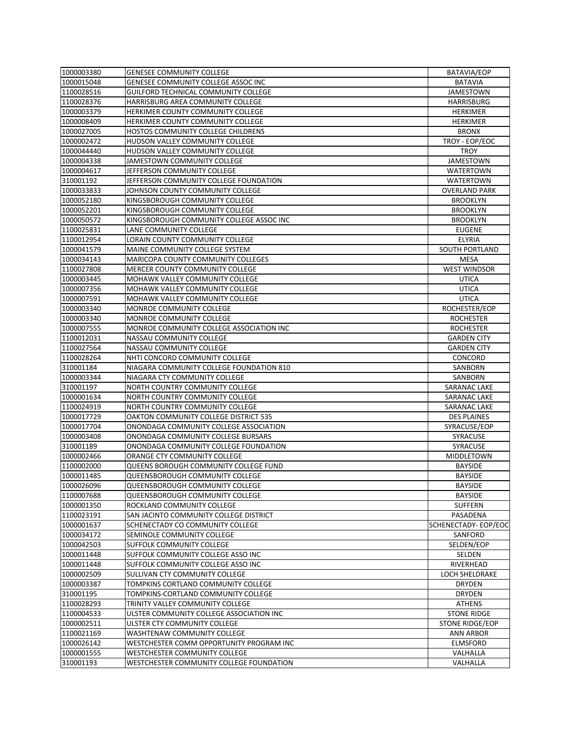| 1000003380 | <b>GENESEE COMMUNITY COLLEGE</b>                | BATAVIA/EOP                |
|------------|-------------------------------------------------|----------------------------|
| 1000015048 | <b>GENESEE COMMUNITY COLLEGE ASSOC INC</b>      | <b>BATAVIA</b>             |
| 1100028516 | <b>GUILFORD TECHNICAL COMMUNITY COLLEGE</b>     | <b>JAMESTOWN</b>           |
| 1100028376 | HARRISBURG AREA COMMUNITY COLLEGE               | <b>HARRISBURG</b>          |
| 1000003379 | HERKIMER COUNTY COMMUNITY COLLEGE               | <b>HERKIMER</b>            |
| 1000008409 | HERKIMER COUNTY COMMUNITY COLLEGE               | <b>HERKIMER</b>            |
| 1000027005 | HOSTOS COMMUNITY COLLEGE CHILDRENS              | <b>BRONX</b>               |
| 1000002472 | HUDSON VALLEY COMMUNITY COLLEGE                 | TROY - EOP/EOC             |
| 1000044440 | HUDSON VALLEY COMMUNITY COLLEGE                 | <b>TROY</b>                |
| 1000004338 | <b>JAMESTOWN COMMUNITY COLLEGE</b>              | <b>JAMESTOWN</b>           |
| 1000004617 | JEFFERSON COMMUNITY COLLEGE                     | <b>WATERTOWN</b>           |
| 310001192  | JEFFERSON COMMUNITY COLLEGE FOUNDATION          | <b>WATERTOWN</b>           |
| 1000033833 | JOHNSON COUNTY COMMUNITY COLLEGE                | <b>OVERLAND PARK</b>       |
|            |                                                 |                            |
| 1000052180 | KINGSBOROUGH COMMUNITY COLLEGE                  | <b>BROOKLYN</b>            |
| 1000052201 | KINGSBOROUGH COMMUNITY COLLEGE                  | <b>BROOKLYN</b>            |
| 1000050572 | KINGSBOROUGH COMMUNITY COLLEGE ASSOC INC        | <b>BROOKLYN</b>            |
| 1100025831 | LANE COMMUNITY COLLEGE                          | <b>EUGENE</b>              |
| 1100012954 | LORAIN COUNTY COMMUNITY COLLEGE                 | <b>ELYRIA</b>              |
| 1000041579 | <b>MAINE COMMUNITY COLLEGE SYSTEM</b>           | <b>SOUTH PORTLAND</b>      |
| 1000034143 | <b>MARICOPA COUNTY COMMUNITY COLLEGES</b>       | <b>MESA</b>                |
| 1100027808 | MERCER COUNTY COMMUNITY COLLEGE                 | <b>WEST WINDSOR</b>        |
| 1000003445 | <b>MOHAWK VALLEY COMMUNITY COLLEGE</b>          | <b>UTICA</b>               |
| 1000007356 | MOHAWK VALLEY COMMUNITY COLLEGE                 | <b>UTICA</b>               |
| 1000007591 | <b>MOHAWK VALLEY COMMUNITY COLLEGE</b>          | <b>UTICA</b>               |
| 1000003340 | MONROE COMMUNITY COLLEGE                        | ROCHESTER/EOP              |
| 1000003340 | MONROE COMMUNITY COLLEGE                        | <b>ROCHESTER</b>           |
| 1000007555 | MONROE COMMUNITY COLLEGE ASSOCIATION INC        | <b>ROCHESTER</b>           |
| 1100012031 | <b>NASSAU COMMUNITY COLLEGE</b>                 | <b>GARDEN CITY</b>         |
| 1100027564 | <b>NASSAU COMMUNITY COLLEGE</b>                 | <b>GARDEN CITY</b>         |
| 1100028264 | NHTI CONCORD COMMUNITY COLLEGE                  | CONCORD                    |
| 310001184  | NIAGARA COMMUNITY COLLEGE FOUNDATION 810        | <b>SANBORN</b>             |
| 1000003344 | NIAGARA CTY COMMUNITY COLLEGE                   | <b>SANBORN</b>             |
| 310001197  | NORTH COUNTRY COMMUNITY COLLEGE                 | <b>SARANAC LAKE</b>        |
| 1000001634 | NORTH COUNTRY COMMUNITY COLLEGE                 | <b>SARANAC LAKE</b>        |
| 1100024919 | NORTH COUNTRY COMMUNITY COLLEGE                 | <b>SARANAC LAKE</b>        |
| 1000017729 | OAKTON COMMUNITY COLLEGE DISTRICT 535           | <b>DES PLAINES</b>         |
| 1000017704 | ONONDAGA COMMUNITY COLLEGE ASSOCIATION          | SYRACUSE/EOP               |
| 1000003408 | ONONDAGA COMMUNITY COLLEGE BURSARS              | <b>SYRACUSE</b>            |
| 310001189  | ONONDAGA COMMUNITY COLLEGE FOUNDATION           | <b>SYRACUSE</b>            |
| 1000002466 | ORANGE CTY COMMUNITY COLLEGE                    | <b>MIDDLETOWN</b>          |
| 1100002000 | QUEENS BOROUGH COMMUNITY COLLEGE FUND           | <b>BAYSIDE</b>             |
| 1000011485 | QUEENSBOROUGH COMMUNITY COLLEGE                 | <b>BAYSIDE</b>             |
| 1000026096 | <b>QUEENSBOROUGH COMMUNITY COLLEGE</b>          | <b>BAYSIDE</b>             |
| 1100007688 | <b>QUEENSBOROUGH COMMUNITY COLLEGE</b>          | <b>BAYSIDE</b>             |
| 1000001350 | ROCKLAND COMMUNITY COLLEGE                      | <b>SUFFERN</b>             |
|            |                                                 |                            |
| 1100023191 | <b>SAN JACINTO COMMUNITY COLLEGE DISTRICT</b>   | PASADENA                   |
| 1000001637 | <b>SCHENECTADY CO COMMUNITY COLLEGE</b>         | <b>SCHENECTADY-EOP/EOC</b> |
| 1000034172 | <b>SEMINOLE COMMUNITY COLLEGE</b>               | SANFORD                    |
| 1000042503 | <b>SUFFOLK COMMUNITY COLLEGE</b>                | SELDEN/EOP                 |
| 1000011448 | <b>SUFFOLK COMMUNITY COLLEGE ASSO INC</b>       | <b>SELDEN</b>              |
| 1000011448 | SUFFOLK COMMUNITY COLLEGE ASSO INC              | RIVERHEAD                  |
| 1000002509 | <b>SULLIVAN CTY COMMUNITY COLLEGE</b>           | <b>LOCH SHELDRAKE</b>      |
| 1000003387 | TOMPKINS CORTLAND COMMUNITY COLLEGE             | <b>DRYDEN</b>              |
| 310001195  | TOMPKINS-CORTLAND COMMUNITY COLLEGE             | <b>DRYDEN</b>              |
| 1100028293 | TRINITY VALLEY COMMUNITY COLLEGE                | <b>ATHENS</b>              |
| 1100004533 | ULSTER COMMUNITY COLLEGE ASSOCIATION INC        | <b>STONE RIDGE</b>         |
| 1000002511 | ULSTER CTY COMMUNITY COLLEGE                    | STONE RIDGE/EOP            |
| 1100021169 | <b>WASHTENAW COMMUNITY COLLEGE</b>              | <b>ANN ARBOR</b>           |
| 1000026142 | WESTCHESTER COMM OPPORTUNITY PROGRAM INC        | <b>ELMSFORD</b>            |
| 1000001555 | <b>WESTCHESTER COMMUNITY COLLEGE</b>            | VALHALLA                   |
| 310001193  | <b>WESTCHESTER COMMUNITY COLLEGE FOUNDATION</b> | VALHALLA                   |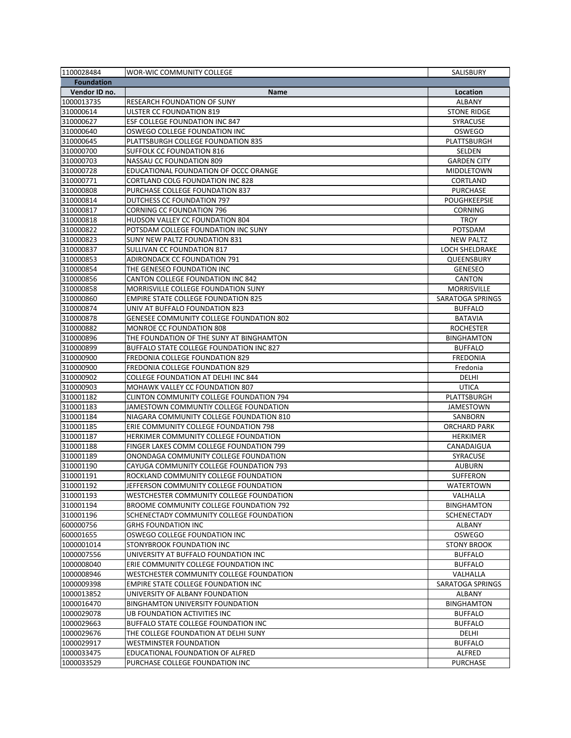| 1100028484        | <b>WOR-WIC COMMUNITY COLLEGE</b>                | SALISBURY               |
|-------------------|-------------------------------------------------|-------------------------|
| <b>Foundation</b> |                                                 |                         |
| Vendor ID no.     | <b>Name</b>                                     | Location                |
| 1000013735        | <b>RESEARCH FOUNDATION OF SUNY</b>              | <b>ALBANY</b>           |
| 310000614         | <b>ULSTER CC FOUNDATION 819</b>                 | <b>STONE RIDGE</b>      |
| 310000627         | <b>ESF COLLEGE FOUNDATION INC 847</b>           | <b>SYRACUSE</b>         |
| 310000640         | OSWEGO COLLEGE FOUNDATION INC                   | <b>OSWEGO</b>           |
| 310000645         | <b>PLATTSBURGH COLLEGE FOUNDATION 835</b>       | PLATTSBURGH             |
| 310000700         | <b>SUFFOLK CC FOUNDATION 816</b>                | <b>SELDEN</b>           |
| 310000703         | <b>NASSAU CC FOUNDATION 809</b>                 | <b>GARDEN CITY</b>      |
| 310000728         | EDUCATIONAL FOUNDATION OF OCCC ORANGE           | <b>MIDDLETOWN</b>       |
| 310000771         | <b>CORTLAND COLG FOUNDATION INC 828</b>         | <b>CORTLAND</b>         |
| 310000808         | PURCHASE COLLEGE FOUNDATION 837                 | <b>PURCHASE</b>         |
| 310000814         | DUTCHESS CC FOUNDATION 797                      | <b>POUGHKEEPSIE</b>     |
| 310000817         | <b>CORNING CC FOUNDATION 796</b>                | <b>CORNING</b>          |
| 310000818         | <b>HUDSON VALLEY CC FOUNDATION 804</b>          | <b>TROY</b>             |
| 310000822         | POTSDAM COLLEGE FOUNDATION INC SUNY             | POTSDAM                 |
| 310000823         | <b>SUNY NEW PALTZ FOUNDATION 831</b>            | <b>NEW PALTZ</b>        |
| 310000837         | <b>SULLIVAN CC FOUNDATION 817</b>               | <b>LOCH SHELDRAKE</b>   |
| 310000853         | <b>ADIRONDACK CC FOUNDATION 791</b>             | <b>QUEENSBURY</b>       |
| 310000854         | THE GENESEO FOUNDATION INC                      | <b>GENESEO</b>          |
|                   | <b>CANTON COLLEGE FOUNDATION INC 842</b>        |                         |
| 310000856         | <b>MORRISVILLE COLLEGE FOUNDATION SUNY</b>      | <b>CANTON</b>           |
| 310000858         |                                                 | <b>MORRISVILLE</b>      |
| 310000860         | <b>EMPIRE STATE COLLEGE FOUNDATION 825</b>      | <b>SARATOGA SPRINGS</b> |
| 310000874         | UNIV AT BUFFALO FOUNDATION 823                  | <b>BUFFALO</b>          |
| 310000878         | <b>GENESEE COMMUNITY COLLEGE FOUNDATION 802</b> | <b>BATAVIA</b>          |
| 310000882         | <b>MONROE CC FOUNDATION 808</b>                 | <b>ROCHESTER</b>        |
| 310000896         | THE FOUNDATION OF THE SUNY AT BINGHAMTON        | <b>BINGHAMTON</b>       |
| 310000899         | <b>BUFFALO STATE COLLEGE FOUNDATION INC 827</b> | <b>BUFFALO</b>          |
| 310000900         | FREDONIA COLLEGE FOUNDATION 829                 | <b>FREDONIA</b>         |
| 310000900         | <b>FREDONIA COLLEGE FOUNDATION 829</b>          | Fredonia                |
| 310000902         | <b>COLLEGE FOUNDATION AT DELHI INC 844</b>      | <b>DELHI</b>            |
| 310000903         | <b>MOHAWK VALLEY CC FOUNDATION 807</b>          | <b>UTICA</b>            |
| 310001182         | <b>CLINTON COMMUNITY COLLEGE FOUNDATION 794</b> | PLATTSBURGH             |
| 310001183         | JAMESTOWN COMMUNTIY COLLEGE FOUNDATION          | <b>JAMESTOWN</b>        |
| 310001184         | NIAGARA COMMUNITY COLLEGE FOUNDATION 810        | <b>SANBORN</b>          |
| 310001185         | ERIE COMMUNITY COLLEGE FOUNDATION 798           | <b>ORCHARD PARK</b>     |
| 310001187         | HERKIMER COMMUNITY COLLEGE FOUNDATION           | <b>HERKIMER</b>         |
| 310001188         | FINGER LAKES COMM COLLEGE FOUNDATION 799        | CANADAIGUA              |
| 310001189         | ONONDAGA COMMUNITY COLLEGE FOUNDATION           | <b>SYRACUSE</b>         |
| 310001190         | CAYUGA COMMUNITY COLLEGE FOUNDATION 793         | <b>AUBURN</b>           |
| 310001191         | ROCKLAND COMMUNITY COLLEGE FOUNDATION           | <b>SUFFERON</b>         |
| 310001192         | JEFFERSON COMMUNITY COLLEGE FOUNDATION          | <b>WATERTOWN</b>        |
| 310001193         | WESTCHESTER COMMUNITY COLLEGE FOUNDATION        | VALHALLA                |
| 310001194         | <b>BROOME COMMUNITY COLLEGE FOUNDATION 792</b>  | <b>BINGHAMTON</b>       |
| 310001196         | SCHENECTADY COMMUNITY COLLEGE FOUNDATION        | <b>SCHENECTADY</b>      |
| 600000756         | <b>GRHS FOUNDATION INC</b>                      | <b>ALBANY</b>           |
| 600001655         | OSWEGO COLLEGE FOUNDATION INC                   | <b>OSWEGO</b>           |
| 1000001014        | STONYBROOK FOUNDATION INC                       | <b>STONY BROOK</b>      |
| 1000007556        | UNIVERSITY AT BUFFALO FOUNDATION INC            | <b>BUFFALO</b>          |
| 1000008040        | <b>ERIE COMMUNITY COLLEGE FOUNDATION INC</b>    | <b>BUFFALO</b>          |
| 1000008946        | WESTCHESTER COMMUNITY COLLEGE FOUNDATION        | VALHALLA                |
| 1000009398        | <b>EMPIRE STATE COLLEGE FOUNDATION INC</b>      | SARATOGA SPRINGS        |
| 1000013852        | UNIVERSITY OF ALBANY FOUNDATION                 | <b>ALBANY</b>           |
| 1000016470        | <b>BINGHAMTON UNIVERSITY FOUNDATION</b>         | <b>BINGHAMTON</b>       |
| 1000029078        | UB FOUNDATION ACTIVITIES INC                    | <b>BUFFALO</b>          |
| 1000029663        | <b>BUFFALO STATE COLLEGE FOUNDATION INC</b>     | <b>BUFFALO</b>          |
| 1000029676        | THE COLLEGE FOUNDATION AT DELHI SUNY            | <b>DELHI</b>            |
| 1000029917        | <b>WESTMINSTER FOUNDATION</b>                   | <b>BUFFALO</b>          |
| 1000033475        | EDUCATIONAL FOUNDATION OF ALFRED                | ALFRED                  |
| 1000033529        | PURCHASE COLLEGE FOUNDATION INC                 | <b>PURCHASE</b>         |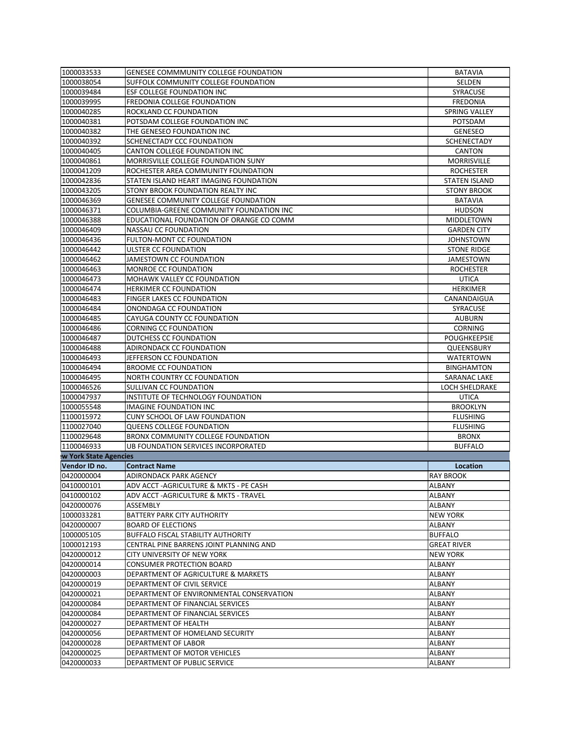| 1000033533                   | <b>GENESEE COMMMUNITY COLLEGE FOUNDATION</b> | <b>BATAVIA</b>        |
|------------------------------|----------------------------------------------|-----------------------|
| 1000038054                   | SUFFOLK COMMUNITY COLLEGE FOUNDATION         | <b>SELDEN</b>         |
| 1000039484                   | <b>ESF COLLEGE FOUNDATION INC</b>            | <b>SYRACUSE</b>       |
| 1000039995                   | FREDONIA COLLEGE FOUNDATION                  | <b>FREDONIA</b>       |
| 1000040285                   | ROCKLAND CC FOUNDATION                       | <b>SPRING VALLEY</b>  |
| 1000040381                   | POTSDAM COLLEGE FOUNDATION INC               | <b>POTSDAM</b>        |
| 1000040382                   | THE GENESEO FOUNDATION INC                   | <b>GENESEO</b>        |
| 1000040392                   | SCHENECTADY CCC FOUNDATION                   | <b>SCHENECTADY</b>    |
| 1000040405                   | <b>CANTON COLLEGE FOUNDATION INC</b>         | <b>CANTON</b>         |
| 1000040861                   | MORRISVILLE COLLEGE FOUNDATION SUNY          | <b>MORRISVILLE</b>    |
| 1000041209                   | ROCHESTER AREA COMMUNITY FOUNDATION          | <b>ROCHESTER</b>      |
| 1000042836                   | STATEN ISLAND HEART IMAGING FOUNDATION       | <b>STATEN ISLAND</b>  |
| 1000043205                   | STONY BROOK FOUNDATION REALTY INC            | <b>STONY BROOK</b>    |
| 1000046369                   | <b>GENESEE COMMUNITY COLLEGE FOUNDATION</b>  | <b>BATAVIA</b>        |
| 1000046371                   | COLUMBIA-GREENE COMMUNITY FOUNDATION INC     | <b>HUDSON</b>         |
| 1000046388                   | EDUCATIONAL FOUNDATION OF ORANGE CO COMM     | <b>MIDDLETOWN</b>     |
| 1000046409                   | <b>NASSAU CC FOUNDATION</b>                  | <b>GARDEN CITY</b>    |
| 1000046436                   | <b>FULTON-MONT CC FOUNDATION</b>             | <b>JOHNSTOWN</b>      |
| 1000046442                   | <b>ULSTER CC FOUNDATION</b>                  | <b>STONE RIDGE</b>    |
|                              | <b>JAMESTOWN CC FOUNDATION</b>               |                       |
| 1000046462                   |                                              | <b>JAMESTOWN</b>      |
| 1000046463                   | <b>MONROE CC FOUNDATION</b>                  | <b>ROCHESTER</b>      |
| 1000046473                   | MOHAWK VALLEY CC FOUNDATION                  | <b>UTICA</b>          |
| 1000046474                   | <b>HERKIMER CC FOUNDATION</b>                | <b>HERKIMER</b>       |
| 1000046483                   | <b>FINGER LAKES CC FOUNDATION</b>            | CANANDAIGUA           |
| 1000046484                   | ONONDAGA CC FOUNDATION                       | <b>SYRACUSE</b>       |
| 1000046485                   | CAYUGA COUNTY CC FOUNDATION                  | <b>AUBURN</b>         |
| 1000046486                   | <b>CORNING CC FOUNDATION</b>                 | <b>CORNING</b>        |
| 1000046487                   | DUTCHESS CC FOUNDATION                       | <b>POUGHKEEPSIE</b>   |
| 1000046488                   | <b>ADIRONDACK CC FOUNDATION</b>              | <b>QUEENSBURY</b>     |
| 1000046493                   | JEFFERSON CC FOUNDATION                      | <b>WATERTOWN</b>      |
| 1000046494                   | <b>BROOME CC FOUNDATION</b>                  | <b>BINGHAMTON</b>     |
| 1000046495                   | NORTH COUNTRY CC FOUNDATION                  | <b>SARANAC LAKE</b>   |
| 1000046526                   | SULLIVAN CC FOUNDATION                       | <b>LOCH SHELDRAKE</b> |
| 1000047937                   | INSTITUTE OF TECHNOLOGY FOUNDATION           | <b>UTICA</b>          |
| 1000055548                   | <b>IMAGINE FOUNDATION INC</b>                | <b>BROOKLYN</b>       |
| 1100015972                   | <b>CUNY SCHOOL OF LAW FOUNDATION</b>         | <b>FLUSHING</b>       |
| 1100027040                   | <b>QUEENS COLLEGE FOUNDATION</b>             | <b>FLUSHING</b>       |
| 1100029648                   | BRONX COMMUNITY COLLEGE FOUNDATION           | <b>BRONX</b>          |
| 1100046933                   | UB FOUNDATION SERVICES INCORPORATED          | <b>BUFFALO</b>        |
| <b>w York State Agencies</b> |                                              |                       |
| Vendor ID no.                | <b>Contract Name</b>                         | Location              |
| 0420000004                   | <b>ADIRONDACK PARK AGENCY</b>                | <b>RAY BROOK</b>      |
| 0410000101                   | ADV ACCT - AGRICULTURE & MKTS - PE CASH      | <b>ALBANY</b>         |
| 0410000102                   | ADV ACCT - AGRICULTURE & MKTS - TRAVEL       | <b>ALBANY</b>         |
| 0420000076                   | <b>ASSEMBLY</b>                              | <b>ALBANY</b>         |
| 1000033281                   | <b>BATTERY PARK CITY AUTHORITY</b>           | <b>NEW YORK</b>       |
| 0420000007                   | <b>BOARD OF ELECTIONS</b>                    | <b>ALBANY</b>         |
| 1000005105                   | <b>BUFFALO FISCAL STABILITY AUTHORITY</b>    | <b>BUFFALO</b>        |
| 1000012193                   | CENTRAL PINE BARRENS JOINT PLANNING AND      | <b>GREAT RIVER</b>    |
| 0420000012                   | <b>CITY UNIVERSITY OF NEW YORK</b>           | <b>NEW YORK</b>       |
| 0420000014                   | <b>CONSUMER PROTECTION BOARD</b>             | <b>ALBANY</b>         |
| 0420000003                   | DEPARTMENT OF AGRICULTURE & MARKETS          | <b>ALBANY</b>         |
| 0420000019                   | DEPARTMENT OF CIVIL SERVICE                  | <b>ALBANY</b>         |
| 0420000021                   | DEPARTMENT OF ENVIRONMENTAL CONSERVATION     | <b>ALBANY</b>         |
| 0420000084                   | DEPARTMENT OF FINANCIAL SERVICES             | <b>ALBANY</b>         |
| 0420000084                   | DEPARTMENT OF FINANCIAL SERVICES             | <b>ALBANY</b>         |
| 0420000027                   | DEPARTMENT OF HEALTH                         | <b>ALBANY</b>         |
| 0420000056                   | DEPARTMENT OF HOMELAND SECURITY              | <b>ALBANY</b>         |
| 0420000028                   | <b>DEPARTMENT OF LABOR</b>                   | <b>ALBANY</b>         |
| 0420000025                   | DEPARTMENT OF MOTOR VEHICLES                 | <b>ALBANY</b>         |
|                              |                                              |                       |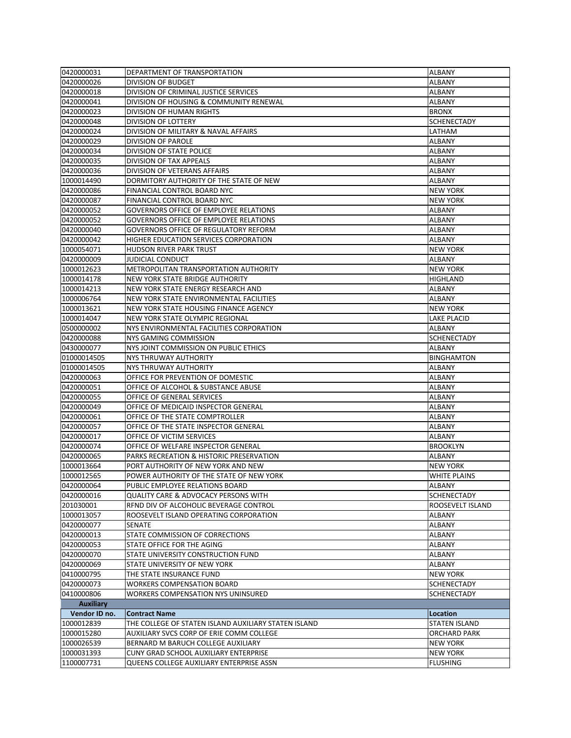| 0420000031       | DEPARTMENT OF TRANSPORTATION                         | <b>ALBANY</b>        |
|------------------|------------------------------------------------------|----------------------|
| 0420000026       | <b>DIVISION OF BUDGET</b>                            | <b>ALBANY</b>        |
| 0420000018       | DIVISION OF CRIMINAL JUSTICE SERVICES                | <b>ALBANY</b>        |
| 0420000041       | DIVISION OF HOUSING & COMMUNITY RENEWAL              | <b>ALBANY</b>        |
| 0420000023       | DIVISION OF HUMAN RIGHTS                             | <b>BRONX</b>         |
| 0420000048       | <b>DIVISION OF LOTTERY</b>                           | <b>SCHENECTADY</b>   |
| 0420000024       | DIVISION OF MILITARY & NAVAL AFFAIRS                 | LATHAM               |
| 0420000029       | <b>DIVISION OF PAROLE</b>                            | <b>ALBANY</b>        |
| 0420000034       | <b>DIVISION OF STATE POLICE</b>                      | <b>ALBANY</b>        |
| 0420000035       | <b>DIVISION OF TAX APPEALS</b>                       | <b>ALBANY</b>        |
| 0420000036       | <b>DIVISION OF VETERANS AFFAIRS</b>                  | <b>ALBANY</b>        |
| 1000014490       | DORMITORY AUTHORITY OF THE STATE OF NEW              | <b>ALBANY</b>        |
| 0420000086       | FINANCIAL CONTROL BOARD NYC                          | <b>NEW YORK</b>      |
| 0420000087       | <b>FINANCIAL CONTROL BOARD NYC</b>                   | <b>NEW YORK</b>      |
| 0420000052       | <b>GOVERNORS OFFICE OF EMPLOYEE RELATIONS</b>        | <b>ALBANY</b>        |
| 0420000052       | <b>GOVERNORS OFFICE OF EMPLOYEE RELATIONS</b>        | <b>ALBANY</b>        |
| 0420000040       | <b>GOVERNORS OFFICE OF REGULATORY REFORM</b>         | <b>ALBANY</b>        |
| 0420000042       | HIGHER EDUCATION SERVICES CORPORATION                | <b>ALBANY</b>        |
| 1000054071       | <b>HUDSON RIVER PARK TRUST</b>                       | <b>NEW YORK</b>      |
| 0420000009       | <b>JUDICIAL CONDUCT</b>                              | <b>ALBANY</b>        |
| 1000012623       | <b>METROPOLITAN TRANSPORTATION AUTHORITY</b>         | <b>NEW YORK</b>      |
| 1000014178       | NEW YORK STATE BRIDGE AUTHORITY                      | <b>HIGHLAND</b>      |
| 1000014213       | NEW YORK STATE ENERGY RESEARCH AND                   | <b>ALBANY</b>        |
| 1000006764       | NEW YORK STATE ENVIRONMENTAL FACILITIES              | <b>ALBANY</b>        |
| 1000013621       | NEW YORK STATE HOUSING FINANCE AGENCY                | <b>NEW YORK</b>      |
| 1000014047       | NEW YORK STATE OLYMPIC REGIONAL                      | <b>LAKE PLACID</b>   |
| 0500000002       | NYS ENVIRONMENTAL FACILITIES CORPORATION             | <b>ALBANY</b>        |
| 0420000088       | <b>NYS GAMING COMMISSION</b>                         | <b>SCHENECTADY</b>   |
| 0430000077       | NYS JOINT COMMISSION ON PUBLIC ETHICS                | <b>ALBANY</b>        |
| 01000014505      | NYS THRUWAY AUTHORITY                                | <b>BINGHAMTON</b>    |
| 01000014505      | NYS THRUWAY AUTHORITY                                | <b>ALBANY</b>        |
| 0420000063       | OFFICE FOR PREVENTION OF DOMESTIC                    | <b>ALBANY</b>        |
| 0420000051       | <b>OFFICE OF ALCOHOL &amp; SUBSTANCE ABUSE</b>       | <b>ALBANY</b>        |
| 0420000055       | OFFICE OF GENERAL SERVICES                           | <b>ALBANY</b>        |
| 0420000049       | OFFICE OF MEDICAID INSPECTOR GENERAL                 | <b>ALBANY</b>        |
| 0420000061       | OFFICE OF THE STATE COMPTROLLER                      | <b>ALBANY</b>        |
| 0420000057       | OFFICE OF THE STATE INSPECTOR GENERAL                | <b>ALBANY</b>        |
| 0420000017       | OFFICE OF VICTIM SERVICES                            | <b>ALBANY</b>        |
| 0420000074       | OFFICE OF WELFARE INSPECTOR GENERAL                  | <b>BROOKLYN</b>      |
| 0420000065       | <b>PARKS RECREATION &amp; HISTORIC PRESERVATION</b>  | <b>ALBANY</b>        |
| 1000013664       | PORT AUTHORITY OF NEW YORK AND NEW                   | <b>NEW YORK</b>      |
| 1000012565       | POWER AUTHORITY OF THE STATE OF NEW YORK             | <b>WHITE PLAINS</b>  |
| 0420000064       | PUBLIC EMPLOYEE RELATIONS BOARD                      | <b>ALBANY</b>        |
| 0420000016       | <b>QUALITY CARE &amp; ADVOCACY PERSONS WITH</b>      | <b>SCHENECTADY</b>   |
| 201030001        | REND DIV OF ALCOHOLIC BEVERAGE CONTROL               | ROOSEVELT ISLAND     |
| 1000013057       | ROOSEVELT ISLAND OPERATING CORPORATION               | <b>ALBANY</b>        |
| 0420000077       | <b>SENATE</b>                                        | <b>ALBANY</b>        |
| 0420000013       | STATE COMMISSION OF CORRECTIONS                      | <b>ALBANY</b>        |
| 0420000053       | STATE OFFICE FOR THE AGING                           | <b>ALBANY</b>        |
| 0420000070       | STATE UNIVERSITY CONSTRUCTION FUND                   | <b>ALBANY</b>        |
| 0420000069       | STATE UNIVERSITY OF NEW YORK                         | <b>ALBANY</b>        |
| 0410000795       | THE STATE INSURANCE FUND                             | <b>NEW YORK</b>      |
| 0420000073       | <b>WORKERS COMPENSATION BOARD</b>                    | <b>SCHENECTADY</b>   |
| 0410000806       | WORKERS COMPENSATION NYS UNINSURED                   | <b>SCHENECTADY</b>   |
| <b>Auxiliary</b> |                                                      |                      |
| Vendor ID no.    | <b>Contract Name</b>                                 | <b>Location</b>      |
| 1000012839       | THE COLLEGE OF STATEN ISLAND AUXILIARY STATEN ISLAND | <b>STATEN ISLAND</b> |
| 1000015280       | AUXILIARY SVCS CORP OF ERIE COMM COLLEGE             | <b>ORCHARD PARK</b>  |
| 1000026539       | BERNARD M BARUCH COLLEGE AUXILIARY                   | <b>NEW YORK</b>      |
| 1000031393       | CUNY GRAD SCHOOL AUXILIARY ENTERPRISE                | <b>NEW YORK</b>      |
| 1100007731       | QUEENS COLLEGE AUXILIARY ENTERPRISE ASSN             | <b>FLUSHING</b>      |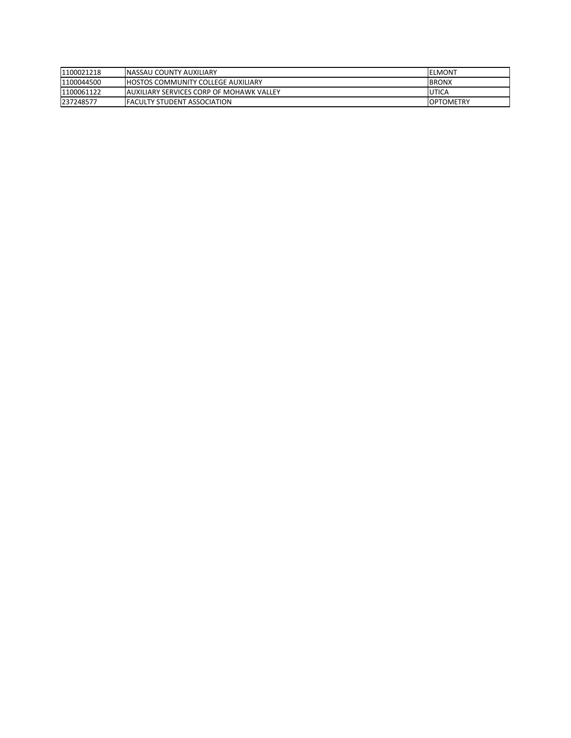| 11100021218 | <b>INASSAU COUNTY AUXILIARY</b>                 | <b>IELMONT</b>   |
|-------------|-------------------------------------------------|------------------|
| 1100044500  | <b>HOSTOS COMMUNITY COLLEGE AUXILIARY</b>       | <b>IBRONX</b>    |
| 1100061122  | <b>AUXILIARY SERVICES CORP OF MOHAWK VALLEY</b> | UTICA            |
| 237248577   | <b>IFACULTY STUDENT ASSOCIATION</b>             | <b>OPTOMETRY</b> |